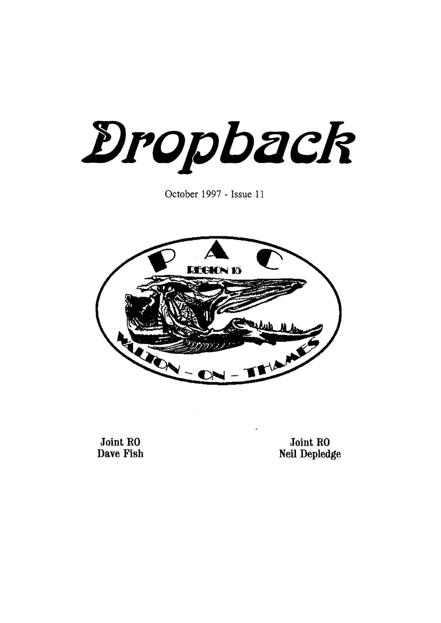Dropback

October 1997 - Issue 11



**Joint RO Dave Fish** 

Joint RO Neil Depledge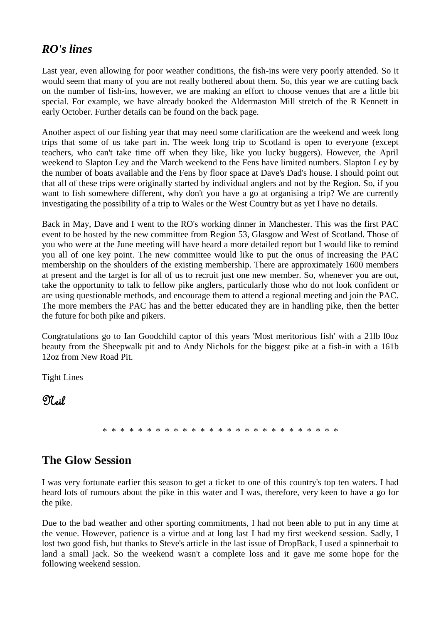### *RO's lines*

Last year, even allowing for poor weather conditions, the fish-ins were very poorly attended. So it would seem that many of you are not really bothered about them. So, this year we are cutting back on the number of fish-ins, however, we are making an effort to choose venues that are a little bit special. For example, we have already booked the Aldermaston Mill stretch of the R Kennett in early October. Further details can be found on the back page.

Another aspect of our fishing year that may need some clarification are the weekend and week long trips that some of us take part in. The week long trip to Scotland is open to everyone (except teachers, who can't take time off when they like, like you lucky buggers). However, the April weekend to Slapton Ley and the March weekend to the Fens have limited numbers. Slapton Ley by the number of boats available and the Fens by floor space at Dave's Dad's house. I should point out that all of these trips were originally started by individual anglers and not by the Region. So, if you want to fish somewhere different, why don't you have a go at organising a trip? We are currently investigating the possibility of a trip to Wales or the West Country but as yet I have no details.

Back in May, Dave and I went to the RO's working dinner in Manchester. This was the first PAC event to be hosted by the new committee from Region 53, Glasgow and West of Scotland. Those of you who were at the June meeting will have heard a more detailed report but I would like to remind you all of one key point. The new committee would like to put the onus of increasing the PAC membership on the shoulders of the existing membership. There are approximately 1600 members at present and the target is for all of us to recruit just one new member. So, whenever you are out, take the opportunity to talk to fellow pike anglers, particularly those who do not look confident or are using questionable methods, and encourage them to attend a regional meeting and join the PAC. The more members the PAC has and the better educated they are in handling pike, then the better the future for both pike and pikers.

Congratulations go to Ian Goodchild captor of this years 'Most meritorious fish' with a 21lb l0oz beauty from the Sheepwalk pit and to Andy Nichols for the biggest pike at a fish-in with a 161b 12oz from New Road Pit.

Tight Lines

 $\mathfrak{N}_{\mathfrak{sl}}$ 

\* \* \* \* \* \* \* \* \* \* \* \* \* \* \* \* \* \* \* \* \* \* \* \* \* \* \*

# **The Glow Session**

I was very fortunate earlier this season to get a ticket to one of this country's top ten waters. I had heard lots of rumours about the pike in this water and I was, therefore, very keen to have a go for the pike.

Due to the bad weather and other sporting commitments, I had not been able to put in any time at the venue. However, patience is a virtue and at long last I had my first weekend session. Sadly, I lost two good fish, but thanks to Steve's article in the last issue of DropBack, I used a spinnerbait to land a small jack. So the weekend wasn't a complete loss and it gave me some hope for the following weekend session.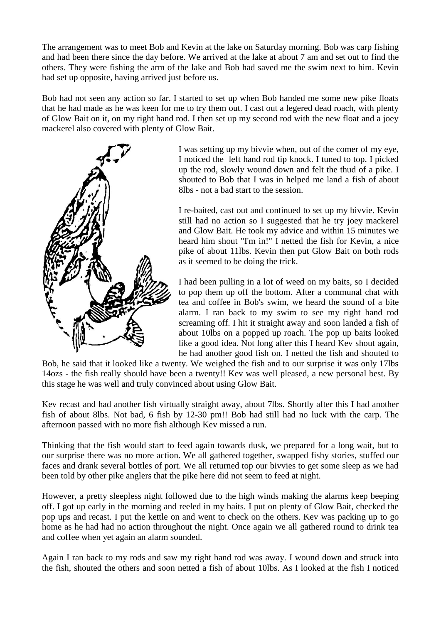The arrangement was to meet Bob and Kevin at the lake on Saturday morning. Bob was carp fishing and had been there since the day before. We arrived at the lake at about 7 am and set out to find the others. They were fishing the arm of the lake and Bob had saved me the swim next to him. Kevin had set up opposite, having arrived just before us.

Bob had not seen any action so far. I started to set up when Bob handed me some new pike floats that he had made as he was keen for me to try them out. I cast out a legered dead roach, with plenty of Glow Bait on it, on my right hand rod. I then set up my second rod with the new float and a joey mackerel also covered with plenty of Glow Bait.



I was setting up my bivvie when, out of the comer of my eye, I noticed the left hand rod tip knock. I tuned to top. I picked up the rod, slowly wound down and felt the thud of a pike. I shouted to Bob that I was in helped me land a fish of about 8lbs - not a bad start to the session.

I re-baited, cast out and continued to set up my bivvie. Kevin still had no action so I suggested that he try joey mackerel and Glow Bait. He took my advice and within 15 minutes we heard him shout "I'm in!" I netted the fish for Kevin, a nice pike of about 11lbs. Kevin then put Glow Bait on both rods as it seemed to be doing the trick.

I had been pulling in a lot of weed on my baits, so I decided to pop them up off the bottom. After a communal chat with tea and coffee in Bob's swim, we heard the sound of a bite alarm. I ran back to my swim to see my right hand rod screaming off. I hit it straight away and soon landed a fish of about 10lbs on a popped up roach. The pop up baits looked like a good idea. Not long after this I heard Kev shout again, he had another good fish on. I netted the fish and shouted to

Bob, he said that it looked like a twenty. We weighed the fish and to our surprise it was only 17lbs 14ozs - the fish really should have been a twenty!! Kev was well pleased, a new personal best. By this stage he was well and truly convinced about using Glow Bait.

Kev recast and had another fish virtually straight away, about 7lbs. Shortly after this I had another fish of about 8lbs. Not bad, 6 fish by 12-30 pm!! Bob had still had no luck with the carp. The afternoon passed with no more fish although Kev missed a run.

Thinking that the fish would start to feed again towards dusk, we prepared for a long wait, but to our surprise there was no more action. We all gathered together, swapped fishy stories, stuffed our faces and drank several bottles of port. We all returned top our bivvies to get some sleep as we had been told by other pike anglers that the pike here did not seem to feed at night.

However, a pretty sleepless night followed due to the high winds making the alarms keep beeping off. I got up early in the morning and reeled in my baits. I put on plenty of Glow Bait, checked the pop ups and recast. I put the kettle on and went to check on the others. Kev was packing up to go home as he had had no action throughout the night. Once again we all gathered round to drink tea and coffee when yet again an alarm sounded.

Again I ran back to my rods and saw my right hand rod was away. I wound down and struck into the fish, shouted the others and soon netted a fish of about 10lbs. As I looked at the fish I noticed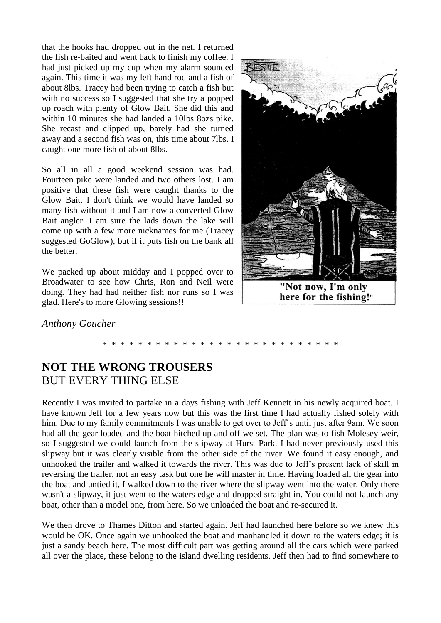that the hooks had dropped out in the net. I returned the fish re-baited and went back to finish my coffee. I had just picked up my cup when my alarm sounded again. This time it was my left hand rod and a fish of about 8lbs. Tracey had been trying to catch a fish but with no success so I suggested that she try a popped up roach with plenty of Glow Bait. She did this and within 10 minutes she had landed a 10lbs 8ozs pike. She recast and clipped up, barely had she turned away and a second fish was on, this time about 7lbs. I caught one more fish of about 8lbs.

So all in all a good weekend session was had. Fourteen pike were landed and two others lost. I am positive that these fish were caught thanks to the Glow Bait. I don't think we would have landed so many fish without it and I am now a converted Glow Bait angler. I am sure the lads down the lake will come up with a few more nicknames for me (Tracey suggested GoGlow), but if it puts fish on the bank all the better.

We packed up about midday and I popped over to Broadwater to see how Chris, Ron and Neil were doing. They had had neither fish nor runs so I was glad. Here's to more Glowing sessions!!



here for the fishing!"

#### *Anthony Goucher*

### \* \* \* \* \* \* \* \* \* \* \* \* \* \* \* \* \* \* \* \* \* \* \* \* \* \* \*

# **NOT THE WRONG TROUSERS** BUT EVERY THING ELSE

Recently I was invited to partake in a days fishing with Jeff Kennett in his newly acquired boat. I have known Jeff for a few years now but this was the first time I had actually fished solely with him. Due to my family commitments I was unable to get over to Jeff's until just after 9am. We soon had all the gear loaded and the boat hitched up and off we set. The plan was to fish Molesey weir, so I suggested we could launch from the slipway at Hurst Park. I had never previously used this slipway but it was clearly visible from the other side of the river. We found it easy enough, and unhooked the trailer and walked it towards the river. This was due to Jeff's present lack of skill in reversing the trailer, not an easy task but one he will master in time. Having loaded all the gear into the boat and untied it, I walked down to the river where the slipway went into the water. Only there wasn't a slipway, it just went to the waters edge and dropped straight in. You could not launch any boat, other than a model one, from here. So we unloaded the boat and re-secured it.

We then drove to Thames Ditton and started again. Jeff had launched here before so we knew this would be OK. Once again we unhooked the boat and manhandled it down to the waters edge; it is just a sandy beach here. The most difficult part was getting around all the cars which were parked all over the place, these belong to the island dwelling residents. Jeff then had to find somewhere to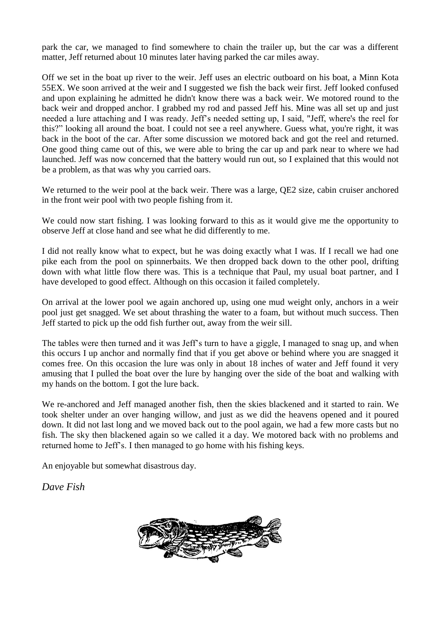park the car, we managed to find somewhere to chain the trailer up, but the car was a different matter, Jeff returned about 10 minutes later having parked the car miles away.

Off we set in the boat up river to the weir. Jeff uses an electric outboard on his boat, a Minn Kota 55EX. We soon arrived at the weir and I suggested we fish the back weir first. Jeff looked confused and upon explaining he admitted he didn't know there was a back weir. We motored round to the back weir and dropped anchor. I grabbed my rod and passed Jeff his. Mine was all set up and just needed a lure attaching and I was ready. Jeff's needed setting up, I said, "Jeff, where's the reel for this?" looking all around the boat. I could not see a reel anywhere. Guess what, you're right, it was back in the boot of the car. After some discussion we motored back and got the reel and returned. One good thing came out of this, we were able to bring the car up and park near to where we had launched. Jeff was now concerned that the battery would run out, so I explained that this would not be a problem, as that was why you carried oars.

We returned to the weir pool at the back weir. There was a large, QE2 size, cabin cruiser anchored in the front weir pool with two people fishing from it.

We could now start fishing. I was looking forward to this as it would give me the opportunity to observe Jeff at close hand and see what he did differently to me.

I did not really know what to expect, but he was doing exactly what I was. If I recall we had one pike each from the pool on spinnerbaits. We then dropped back down to the other pool, drifting down with what little flow there was. This is a technique that Paul, my usual boat partner, and I have developed to good effect. Although on this occasion it failed completely.

On arrival at the lower pool we again anchored up, using one mud weight only, anchors in a weir pool just get snagged. We set about thrashing the water to a foam, but without much success. Then Jeff started to pick up the odd fish further out, away from the weir sill.

The tables were then turned and it was Jeff's turn to have a giggle, I managed to snag up, and when this occurs I up anchor and normally find that if you get above or behind where you are snagged it comes free. On this occasion the lure was only in about 18 inches of water and Jeff found it very amusing that I pulled the boat over the lure by hanging over the side of the boat and walking with my hands on the bottom. I got the lure back.

We re-anchored and Jeff managed another fish, then the skies blackened and it started to rain. We took shelter under an over hanging willow, and just as we did the heavens opened and it poured down. It did not last long and we moved back out to the pool again, we had a few more casts but no fish. The sky then blackened again so we called it a day. We motored back with no problems and returned home to Jeff's. I then managed to go home with his fishing keys.

An enjoyable but somewhat disastrous day.

*Dave Fish*

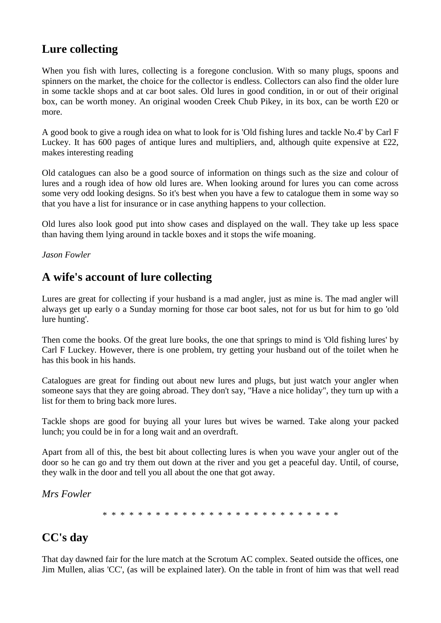# **Lure collecting**

When you fish with lures, collecting is a foregone conclusion. With so many plugs, spoons and spinners on the market, the choice for the collector is endless. Collectors can also find the older lure in some tackle shops and at car boot sales. Old lures in good condition, in or out of their original box, can be worth money. An original wooden Creek Chub Pikey, in its box, can be worth £20 or more.

A good book to give a rough idea on what to look for is 'Old fishing lures and tackle No.4' by Carl F Luckey. It has 600 pages of antique lures and multipliers, and, although quite expensive at £22, makes interesting reading

Old catalogues can also be a good source of information on things such as the size and colour of lures and a rough idea of how old lures are. When looking around for lures you can come across some very odd looking designs. So it's best when you have a few to catalogue them in some way so that you have a list for insurance or in case anything happens to your collection.

Old lures also look good put into show cases and displayed on the wall. They take up less space than having them lying around in tackle boxes and it stops the wife moaning.

*Jason Fowler*

### **A wife's account of lure collecting**

Lures are great for collecting if your husband is a mad angler, just as mine is. The mad angler will always get up early o a Sunday morning for those car boot sales, not for us but for him to go 'old lure hunting'.

Then come the books. Of the great lure books, the one that springs to mind is 'Old fishing lures' by Carl F Luckey. However, there is one problem, try getting your husband out of the toilet when he has this book in his hands.

Catalogues are great for finding out about new lures and plugs, but just watch your angler when someone says that they are going abroad. They don't say, "Have a nice holiday", they turn up with a list for them to bring back more lures.

Tackle shops are good for buying all your lures but wives be warned. Take along your packed lunch; you could be in for a long wait and an overdraft.

Apart from all of this, the best bit about collecting lures is when you wave your angler out of the door so he can go and try them out down at the river and you get a peaceful day. Until, of course, they walk in the door and tell you all about the one that got away.

*Mrs Fowler*

\* \* \* \* \* \* \* \* \* \* \* \* \* \* \* \* \* \* \* \* \* \* \* \* \* \* \*

# **CC's day**

That day dawned fair for the lure match at the Scrotum AC complex. Seated outside the offices, one Jim Mullen, alias 'CC', (as will be explained later). On the table in front of him was that well read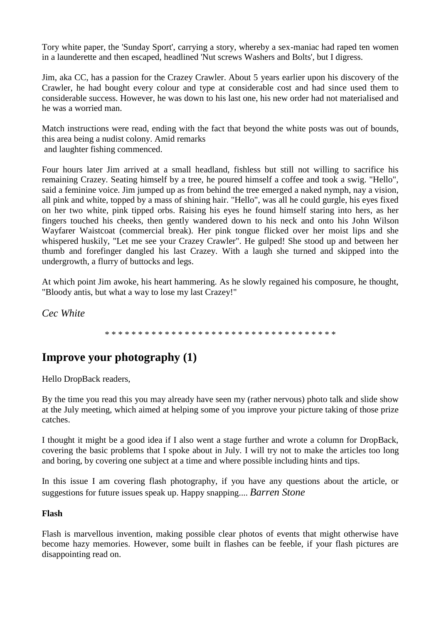Tory white paper, the 'Sunday Sport', carrying a story, whereby a sex-maniac had raped ten women in a launderette and then escaped, headlined 'Nut screws Washers and Bolts', but I digress.

Jim, aka CC, has a passion for the Crazey Crawler. About 5 years earlier upon his discovery of the Crawler, he had bought every colour and type at considerable cost and had since used them to considerable success. However, he was down to his last one, his new order had not materialised and he was a worried man.

Match instructions were read, ending with the fact that beyond the white posts was out of bounds, this area being a nudist colony. Amid remarks and laughter fishing commenced.

Four hours later Jim arrived at a small headland, fishless but still not willing to sacrifice his remaining Crazey. Seating himself by a tree, he poured himself a coffee and took a swig. "Hello", said a feminine voice. Jim jumped up as from behind the tree emerged a naked nymph, nay a vision, all pink and white, topped by a mass of shining hair. "Hello", was all he could gurgle, his eyes fixed on her two white, pink tipped orbs. Raising his eyes he found himself staring into hers, as her fingers touched his cheeks, then gently wandered down to his neck and onto his John Wilson Wayfarer Waistcoat (commercial break). Her pink tongue flicked over her moist lips and she whispered huskily, "Let me see your Crazey Crawler". He gulped! She stood up and between her thumb and forefinger dangled his last Crazey. With a laugh she turned and skipped into the undergrowth, a flurry of buttocks and legs.

At which point Jim awoke, his heart hammering. As he slowly regained his composure, he thought, "Bloody antis, but what a way to lose my last Crazey!"

*Cec White*

#### \* \* \* \* \* \* \* \* \* \* \* \* \* \* \* \* \* \* \* \* \* \* \* \* \* \* \* \* \* \* \* \* \* \* \*

# **Improve your photography (1)**

Hello DropBack readers,

By the time you read this you may already have seen my (rather nervous) photo talk and slide show at the July meeting, which aimed at helping some of you improve your picture taking of those prize catches.

I thought it might be a good idea if I also went a stage further and wrote a column for DropBack, covering the basic problems that I spoke about in July. I will try not to make the articles too long and boring, by covering one subject at a time and where possible including hints and tips.

In this issue I am covering flash photography, if you have any questions about the article, or suggestions for future issues speak up. Happy snapping.... *Barren Stone*

#### **Flash**

Flash is marvellous invention, making possible clear photos of events that might otherwise have become hazy memories. However, some built in flashes can be feeble, if your flash pictures are disappointing read on.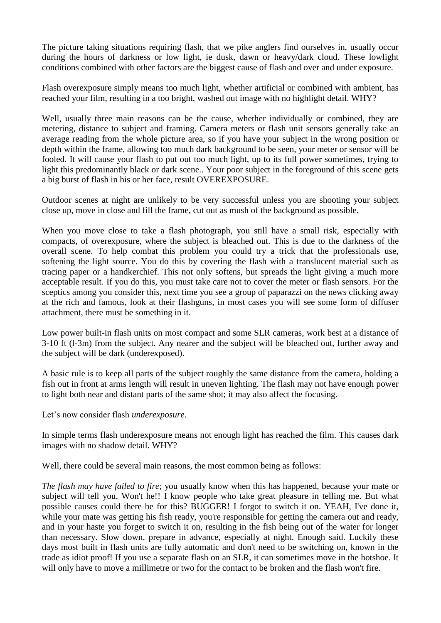The picture taking situations requiring flash, that we pike anglers find ourselves in, usually occur during the hours of darkness or low light, ie dusk, dawn or heavy/dark cloud. These lowlight conditions combined with other factors are the biggest cause of flash and over and under exposure.

Flash overexposure simply means too much light, whether artificial or combined with ambient, has reached your film, resulting in a too bright, washed out image with no highlight detail. WHY?

Well, usually three main reasons can be the cause, whether individually or combined, they are metering, distance to subject and framing. Camera meters or flash unit sensors generally take an average reading from the whole picture area, so if you have your subject in the wrong position or depth within the frame, allowing too much dark background to be seen, your meter or sensor will be fooled. It will cause your flash to put out too much light, up to its full power sometimes, trying to light this predominantly black or dark scene.. Your poor subject in the foreground of this scene gets a big burst of flash in his or her face, result OVEREXPOSURE.

Outdoor scenes at night are unlikely to be very successful unless you are shooting your subject close up, move in close and fill the frame, cut out as mush of the background as possible.

When you move close to take a flash photograph, you still have a small risk, especially with compacts, of overexposure, where the subject is bleached out. This is due to the darkness of the overall scene. To help combat this problem you could try a trick that the professionals use, softening the light source. You do this by covering the flash with a translucent material such as tracing paper or a handkerchief. This not only softens, but spreads the light giving a much more acceptable result. If you do this, you must take care not to cover the meter or flash sensors. For the sceptics among you consider this, next time you see a group of paparazzi on the news clicking away at the rich and famous, look at their flashguns, in most cases you will see some form of diffuser attachment, there must be something in it.

Low power built-in flash units on most compact and some SLR cameras, work best at a distance of 3-10 ft (l-3m) from the subject. Any nearer and the subject will be bleached out, further away and the subject will be dark (underexposed).

A basic rule is to keep all parts of the subject roughly the same distance from the camera, holding a fish out in front at arms length will result in uneven lighting. The flash may not have enough power to light both near and distant parts of the same shot; it may also affect the focusing.

Let's now consider flash *underexposure*.

In simple terms flash underexposure means not enough light has reached the film. This causes dark images with no shadow detail. WHY?

Well, there could be several main reasons, the most common being as follows:

*The flash may have failed to fire*; you usually know when this has happened, because your mate or subject will tell you. Won't he!! I know people who take great pleasure in telling me. But what possible causes could there be for this? BUGGER! I forgot to switch it on. YEAH, I've done it, while your mate was getting his fish ready, you're responsible for getting the camera out and ready, and in your haste you forget to switch it on, resulting in the fish being out of the water for longer than necessary. Slow down, prepare in advance, especially at night. Enough said. Luckily these days most built in flash units are fully automatic and don't need to be switching on, known in the trade as idiot proof! If you use a separate flash on an SLR, it can sometimes move in the hotshoe. It will only have to move a millimetre or two for the contact to be broken and the flash won't fire.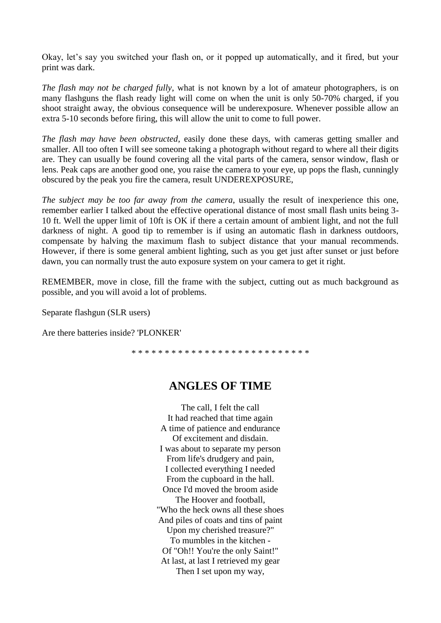Okay, let's say you switched your flash on, or it popped up automatically, and it fired, but your print was dark.

*The flash may not be charged fully*, what is not known by a lot of amateur photographers, is on many flashguns the flash ready light will come on when the unit is only 50-70% charged, if you shoot straight away, the obvious consequence will be underexposure. Whenever possible allow an extra 5-10 seconds before firing, this will allow the unit to come to full power.

*The flash may have been obstructed*, easily done these days, with cameras getting smaller and smaller. All too often I will see someone taking a photograph without regard to where all their digits are. They can usually be found covering all the vital parts of the camera, sensor window, flash or lens. Peak caps are another good one, you raise the camera to your eye, up pops the flash, cunningly obscured by the peak you fire the camera, result UNDEREXPOSURE,

*The subject may be too far away from the camera*, usually the result of inexperience this one, remember earlier I talked about the effective operational distance of most small flash units being 3- 10 ft. Well the upper limit of 10ft is OK if there a certain amount of ambient light, and not the full darkness of night. A good tip to remember is if using an automatic flash in darkness outdoors, compensate by halving the maximum flash to subject distance that your manual recommends. However, if there is some general ambient lighting, such as you get just after sunset or just before dawn, you can normally trust the auto exposure system on your camera to get it right.

REMEMBER, move in close, fill the frame with the subject, cutting out as much background as possible, and you will avoid a lot of problems.

Separate flashgun (SLR users)

Are there batteries inside? 'PLONKER'

\* \* \* \* \* \* \* \* \* \* \* \* \* \* \* \* \* \* \* \* \* \* \* \* \* \* \*

### **ANGLES OF TIME**

The call, I felt the call It had reached that time again A time of patience and endurance Of excitement and disdain. I was about to separate my person From life's drudgery and pain, I collected everything I needed From the cupboard in the hall. Once I'd moved the broom aside The Hoover and football, "Who the heck owns all these shoes And piles of coats and tins of paint Upon my cherished treasure?" To mumbles in the kitchen - Of "Oh!! You're the only Saint!" At last, at last I retrieved my gear Then I set upon my way,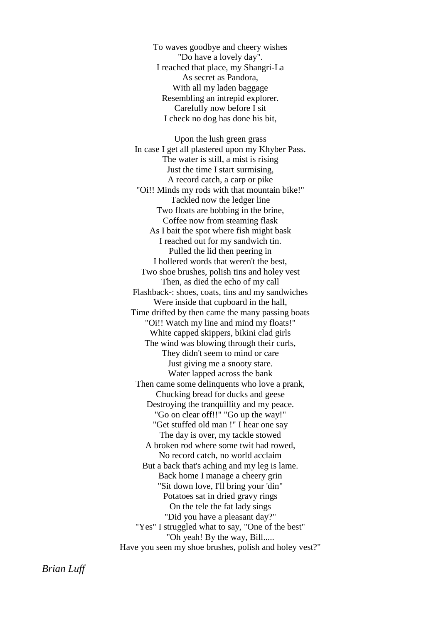To waves goodbye and cheery wishes "Do have a lovely day". I reached that place, my Shangri-La As secret as Pandora, With all my laden baggage Resembling an intrepid explorer. Carefully now before I sit I check no dog has done his bit,

Upon the lush green grass In case I get all plastered upon my Khyber Pass. The water is still, a mist is rising Just the time I start surmising, A record catch, a carp or pike "Oi!! Minds my rods with that mountain bike!" Tackled now the ledger line Two floats are bobbing in the brine, Coffee now from steaming flask As I bait the spot where fish might bask I reached out for my sandwich tin. Pulled the lid then peering in I hollered words that weren't the best, Two shoe brushes, polish tins and holey vest Then, as died the echo of my call Flashback-: shoes, coats, tins and my sandwiches Were inside that cupboard in the hall, Time drifted by then came the many passing boats "Oi!! Watch my line and mind my floats!" White capped skippers, bikini clad girls The wind was blowing through their curls, They didn't seem to mind or care Just giving me a snooty stare. Water lapped across the bank Then came some delinquents who love a prank, Chucking bread for ducks and geese Destroying the tranquillity and my peace. "Go on clear off!!" "Go up the way!" "Get stuffed old man !" I hear one say The day is over, my tackle stowed A broken rod where some twit had rowed, No record catch, no world acclaim But a back that's aching and my leg is lame. Back home I manage a cheery grin "Sit down love, I'll bring your 'din" Potatoes sat in dried gravy rings On the tele the fat lady sings "Did you have a pleasant day?" "Yes" I struggled what to say, "One of the best" "Oh yeah! By the way, Bill..... Have you seen my shoe brushes, polish and holey vest?"

*Brian Luff*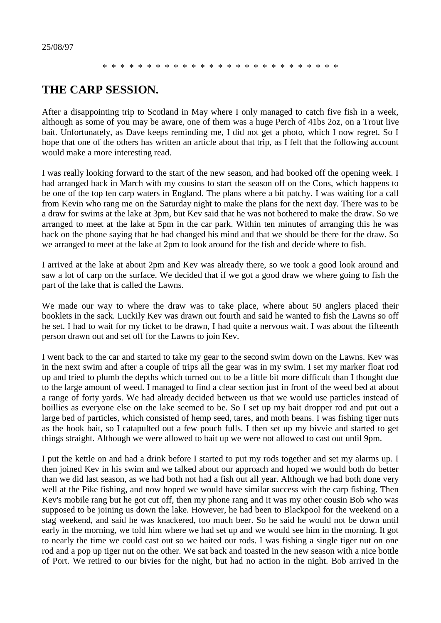\* \* \* \* \* \* \* \* \* \* \* \* \* \* \* \* \* \* \* \* \* \* \* \* \* \* \*

### **THE CARP SESSION.**

After a disappointing trip to Scotland in May where I only managed to catch five fish in a week, although as some of you may be aware, one of them was a huge Perch of 41bs 2oz, on a Trout live bait. Unfortunately, as Dave keeps reminding me, I did not get a photo, which I now regret. So I hope that one of the others has written an article about that trip, as I felt that the following account would make a more interesting read.

I was really looking forward to the start of the new season, and had booked off the opening week. I had arranged back in March with my cousins to start the season off on the Cons, which happens to be one of the top ten carp waters in England. The plans where a bit patchy. I was waiting for a call from Kevin who rang me on the Saturday night to make the plans for the next day. There was to be a draw for swims at the lake at 3pm, but Kev said that he was not bothered to make the draw. So we arranged to meet at the lake at 5pm in the car park. Within ten minutes of arranging this he was back on the phone saying that he had changed his mind and that we should be there for the draw. So we arranged to meet at the lake at 2pm to look around for the fish and decide where to fish.

I arrived at the lake at about 2pm and Kev was already there, so we took a good look around and saw a lot of carp on the surface. We decided that if we got a good draw we where going to fish the part of the lake that is called the Lawns.

We made our way to where the draw was to take place, where about 50 anglers placed their booklets in the sack. Luckily Kev was drawn out fourth and said he wanted to fish the Lawns so off he set. I had to wait for my ticket to be drawn, I had quite a nervous wait. I was about the fifteenth person drawn out and set off for the Lawns to join Kev.

I went back to the car and started to take my gear to the second swim down on the Lawns. Kev was in the next swim and after a couple of trips all the gear was in my swim. I set my marker float rod up and tried to plumb the depths which turned out to be a little bit more difficult than I thought due to the large amount of weed. I managed to find a clear section just in front of the weed bed at about a range of forty yards. We had already decided between us that we would use particles instead of boillies as everyone else on the lake seemed to be. So I set up my bait dropper rod and put out a large bed of particles, which consisted of hemp seed, tares, and moth beans. I was fishing tiger nuts as the hook bait, so I catapulted out a few pouch fulls. I then set up my bivvie and started to get things straight. Although we were allowed to bait up we were not allowed to cast out until 9pm.

I put the kettle on and had a drink before I started to put my rods together and set my alarms up. I then joined Kev in his swim and we talked about our approach and hoped we would both do better than we did last season, as we had both not had a fish out all year. Although we had both done very well at the Pike fishing, and now hoped we would have similar success with the carp fishing. Then Kev's mobile rang but he got cut off, then my phone rang and it was my other cousin Bob who was supposed to be joining us down the lake. However, he had been to Blackpool for the weekend on a stag weekend, and said he was knackered, too much beer. So he said he would not be down until early in the morning, we told him where we had set up and we would see him in the morning. It got to nearly the time we could cast out so we baited our rods. I was fishing a single tiger nut on one rod and a pop up tiger nut on the other. We sat back and toasted in the new season with a nice bottle of Port. We retired to our bivies for the night, but had no action in the night. Bob arrived in the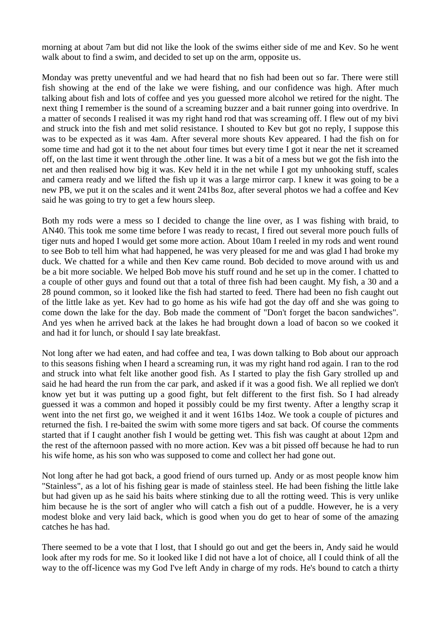morning at about 7am but did not like the look of the swims either side of me and Kev. So he went walk about to find a swim, and decided to set up on the arm, opposite us.

Monday was pretty uneventful and we had heard that no fish had been out so far. There were still fish showing at the end of the lake we were fishing, and our confidence was high. After much talking about fish and lots of coffee and yes you guessed more alcohol we retired for the night. The next thing I remember is the sound of a screaming buzzer and a bait runner going into overdrive. In a matter of seconds I realised it was my right hand rod that was screaming off. I flew out of my bivi and struck into the fish and met solid resistance. I shouted to Kev but got no reply, I suppose this was to be expected as it was 4am. After several more shouts Kev appeared. I had the fish on for some time and had got it to the net about four times but every time I got it near the net it screamed off, on the last time it went through the .other line. It was a bit of a mess but we got the fish into the net and then realised how big it was. Kev held it in the net while I got my unhooking stuff, scales and camera ready and we lifted the fish up it was a large mirror carp. I knew it was going to be a new PB, we put it on the scales and it went 241bs 8oz, after several photos we had a coffee and Kev said he was going to try to get a few hours sleep.

Both my rods were a mess so I decided to change the line over, as I was fishing with braid, to AN40. This took me some time before I was ready to recast, I fired out several more pouch fulls of tiger nuts and hoped I would get some more action. About 10am I reeled in my rods and went round to see Bob to tell him what had happened, he was very pleased for me and was glad I had broke my duck. We chatted for a while and then Kev came round. Bob decided to move around with us and be a bit more sociable. We helped Bob move his stuff round and he set up in the comer. I chatted to a couple of other guys and found out that a total of three fish had been caught. My fish, a 30 and a 28 pound common, so it looked like the fish had started to feed. There had been no fish caught out of the little lake as yet. Kev had to go home as his wife had got the day off and she was going to come down the lake for the day. Bob made the comment of "Don't forget the bacon sandwiches". And yes when he arrived back at the lakes he had brought down a load of bacon so we cooked it and had it for lunch, or should I say late breakfast.

Not long after we had eaten, and had coffee and tea, I was down talking to Bob about our approach to this seasons fishing when I heard a screaming run, it was my right hand rod again. I ran to the rod and struck into what felt like another good fish. As I started to play the fish Gary strolled up and said he had heard the run from the car park, and asked if it was a good fish. We all replied we don't know yet but it was putting up a good fight, but felt different to the first fish. So I had already guessed it was a common and hoped it possibly could be my first twenty. After a lengthy scrap it went into the net first go, we weighed it and it went 161bs 14oz. We took a couple of pictures and returned the fish. I re-baited the swim with some more tigers and sat back. Of course the comments started that if I caught another fish I would be getting wet. This fish was caught at about 12pm and the rest of the afternoon passed with no more action. Kev was a bit pissed off because he had to run his wife home, as his son who was supposed to come and collect her had gone out.

Not long after he had got back, a good friend of ours turned up. Andy or as most people know him "Stainless", as a lot of his fishing gear is made of stainless steel. He had been fishing the little lake but had given up as he said his baits where stinking due to all the rotting weed. This is very unlike him because he is the sort of angler who will catch a fish out of a puddle. However, he is a very modest bloke and very laid back, which is good when you do get to hear of some of the amazing catches he has had.

There seemed to be a vote that I lost, that I should go out and get the beers in, Andy said he would look after my rods for me. So it looked like I did not have a lot of choice, all I could think of all the way to the off-licence was my God I've left Andy in charge of my rods. He's bound to catch a thirty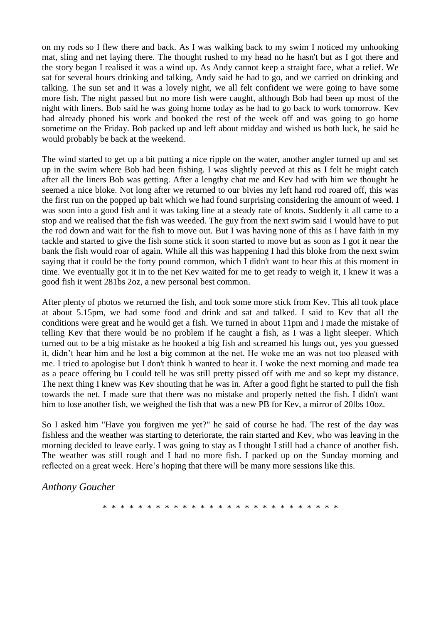on my rods so I flew there and back. As I was walking back to my swim I noticed my unhooking mat, sling and net laying there. The thought rushed to my head no he hasn't but as I got there and the story began I realised it was a wind up. As Andy cannot keep a straight face, what a relief. We sat for several hours drinking and talking, Andy said he had to go, and we carried on drinking and talking. The sun set and it was a lovely night, we all felt confident we were going to have some more fish. The night passed but no more fish were caught, although Bob had been up most of the night with liners. Bob said he was going home today as he had to go back to work tomorrow. Kev had already phoned his work and booked the rest of the week off and was going to go home sometime on the Friday. Bob packed up and left about midday and wished us both luck, he said he would probably be back at the weekend.

The wind started to get up a bit putting a nice ripple on the water, another angler turned up and set up in the swim where Bob had been fishing. I was slightly peeved at this as I felt he might catch after all the liners Bob was getting. After a lengthy chat me and Kev had with him we thought he seemed a nice bloke. Not long after we returned to our bivies my left hand rod roared off, this was the first run on the popped up bait which we had found surprising considering the amount of weed. I was soon into a good fish and it was taking line at a steady rate of knots. Suddenly it all came to a stop and we realised that the fish was weeded. The guy from the next swim said I would have to put the rod down and wait for the fish to move out. But I was having none of this as I have faith in my tackle and started to give the fish some stick it soon started to move but as soon as I got it near the bank the fish would roar of again. While all this was happening I had this bloke from the next swim saying that it could be the forty pound common, which I didn't want to hear this at this moment in time. We eventually got it in to the net Kev waited for me to get ready to weigh it, I knew it was a good fish it went 281bs 2oz, a new personal best common.

After plenty of photos we returned the fish, and took some more stick from Kev. This all took place at about 5.15pm, we had some food and drink and sat and talked. I said to Kev that all the conditions were great and he would get a fish. We turned in about 11pm and I made the mistake of telling Kev that there would be no problem if he caught a fish, as I was a light sleeper. Which turned out to be a big mistake as he hooked a big fish and screamed his lungs out, yes you guessed it, didn't hear him and he lost a big common at the net. He woke me an was not too pleased with me. I tried to apologise but I don't think h wanted to hear it. I woke the next morning and made tea as a peace offering bu I could tell he was still pretty pissed off with me and so kept my distance. The next thing I knew was Kev shouting that he was in. After a good fight he started to pull the fish towards the net. I made sure that there was no mistake and properly netted the fish. I didn't want him to lose another fish, we weighed the fish that was a new PB for Kev, a mirror of 20lbs 10oz.

So I asked him "Have you forgiven me yet?" he said of course he had. The rest of the day was fishless and the weather was starting to deteriorate, the rain started and Kev, who was leaving in the morning decided to leave early. I was going to stay as I thought I still had a chance of another fish. The weather was still rough and I had no more fish. I packed up on the Sunday morning and reflected on a great week. Here's hoping that there will be many more sessions like this.

#### *Anthony Goucher*

\* \* \* \* \* \* \* \* \* \* \* \* \* \* \* \* \* \* \* \* \* \* \* \* \* \* \*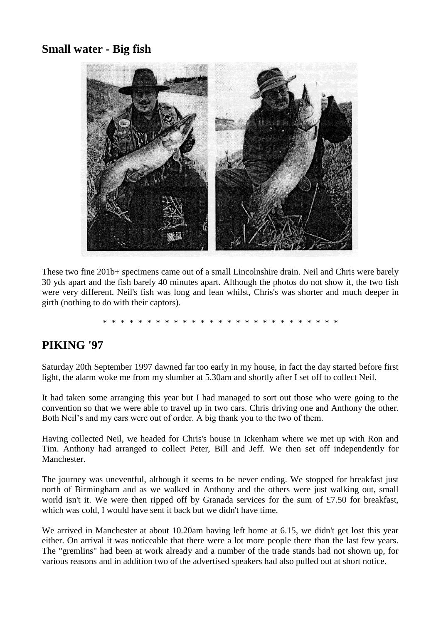### **Small water - Big fish**



These two fine 201b+ specimens came out of a small Lincolnshire drain. Neil and Chris were barely 30 yds apart and the fish barely 40 minutes apart. Although the photos do not show it, the two fish were very different. Neil's fish was long and lean whilst, Chris's was shorter and much deeper in girth (nothing to do with their captors).

#### \* \* \* \* \* \* \* \* \* \* \* \* \* \* \* \* \* \* \* \* \* \* \* \* \* \* \*

### **PIKING '97**

Saturday 20th September 1997 dawned far too early in my house, in fact the day started before first light, the alarm woke me from my slumber at 5.30am and shortly after I set off to collect Neil.

It had taken some arranging this year but I had managed to sort out those who were going to the convention so that we were able to travel up in two cars. Chris driving one and Anthony the other. Both Neil's and my cars were out of order. A big thank you to the two of them.

Having collected Neil, we headed for Chris's house in Ickenham where we met up with Ron and Tim. Anthony had arranged to collect Peter, Bill and Jeff. We then set off independently for Manchester.

The journey was uneventful, although it seems to be never ending. We stopped for breakfast just north of Birmingham and as we walked in Anthony and the others were just walking out, small world isn't it. We were then ripped off by Granada services for the sum of £7.50 for breakfast, which was cold, I would have sent it back but we didn't have time.

We arrived in Manchester at about 10.20am having left home at 6.15, we didn't get lost this year either. On arrival it was noticeable that there were a lot more people there than the last few years. The "gremlins" had been at work already and a number of the trade stands had not shown up, for various reasons and in addition two of the advertised speakers had also pulled out at short notice.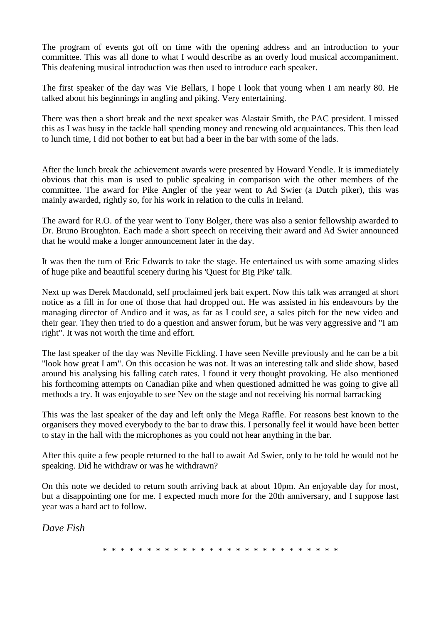The program of events got off on time with the opening address and an introduction to your committee. This was all done to what I would describe as an overly loud musical accompaniment. This deafening musical introduction was then used to introduce each speaker.

The first speaker of the day was Vie Bellars, I hope I look that young when I am nearly 80. He talked about his beginnings in angling and piking. Very entertaining.

There was then a short break and the next speaker was Alastair Smith, the PAC president. I missed this as I was busy in the tackle hall spending money and renewing old acquaintances. This then lead to lunch time, I did not bother to eat but had a beer in the bar with some of the lads.

After the lunch break the achievement awards were presented by Howard Yendle. It is immediately obvious that this man is used to public speaking in comparison with the other members of the committee. The award for Pike Angler of the year went to Ad Swier (a Dutch piker), this was mainly awarded, rightly so, for his work in relation to the culls in Ireland.

The award for R.O. of the year went to Tony Bolger, there was also a senior fellowship awarded to Dr. Bruno Broughton. Each made a short speech on receiving their award and Ad Swier announced that he would make a longer announcement later in the day.

It was then the turn of Eric Edwards to take the stage. He entertained us with some amazing slides of huge pike and beautiful scenery during his 'Quest for Big Pike' talk.

Next up was Derek Macdonald, self proclaimed jerk bait expert. Now this talk was arranged at short notice as a fill in for one of those that had dropped out. He was assisted in his endeavours by the managing director of Andico and it was, as far as I could see, a sales pitch for the new video and their gear. They then tried to do a question and answer forum, but he was very aggressive and "I am right". It was not worth the time and effort.

The last speaker of the day was Neville Fickling. I have seen Neville previously and he can be a bit "look how great I am". On this occasion he was not. It was an interesting talk and slide show, based around his analysing his falling catch rates. I found it very thought provoking. He also mentioned his forthcoming attempts on Canadian pike and when questioned admitted he was going to give all methods a try. It was enjoyable to see Nev on the stage and not receiving his normal barracking

This was the last speaker of the day and left only the Mega Raffle. For reasons best known to the organisers they moved everybody to the bar to draw this. I personally feel it would have been better to stay in the hall with the microphones as you could not hear anything in the bar.

After this quite a few people returned to the hall to await Ad Swier, only to be told he would not be speaking. Did he withdraw or was he withdrawn?

On this note we decided to return south arriving back at about 10pm. An enjoyable day for most, but a disappointing one for me. I expected much more for the 20th anniversary, and I suppose last year was a hard act to follow.

*Dave Fish*

\* \* \* \* \* \* \* \* \* \* \* \* \* \* \* \* \* \* \* \* \* \* \* \* \* \* \*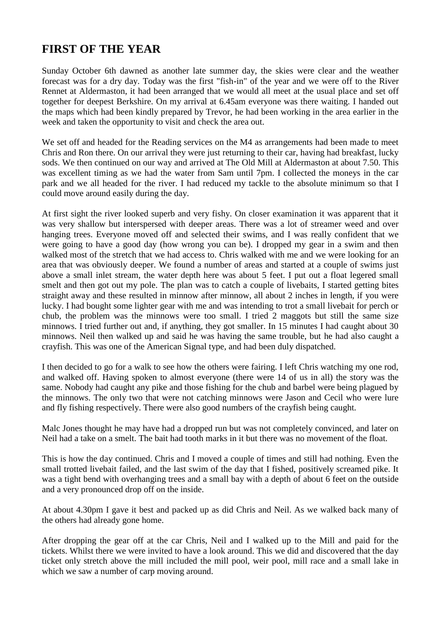# **FIRST OF THE YEAR**

Sunday October 6th dawned as another late summer day, the skies were clear and the weather forecast was for a dry day. Today was the first "fish-in" of the year and we were off to the River Rennet at Aldermaston, it had been arranged that we would all meet at the usual place and set off together for deepest Berkshire. On my arrival at 6.45am everyone was there waiting. I handed out the maps which had been kindly prepared by Trevor, he had been working in the area earlier in the week and taken the opportunity to visit and check the area out.

We set off and headed for the Reading services on the M4 as arrangements had been made to meet Chris and Ron there. On our arrival they were just returning to their car, having had breakfast, lucky sods. We then continued on our way and arrived at The Old Mill at Aldermaston at about 7.50. This was excellent timing as we had the water from Sam until 7pm. I collected the moneys in the car park and we all headed for the river. I had reduced my tackle to the absolute minimum so that I could move around easily during the day.

At first sight the river looked superb and very fishy. On closer examination it was apparent that it was very shallow but interspersed with deeper areas. There was a lot of streamer weed and over hanging trees. Everyone moved off and selected their swims, and I was really confident that we were going to have a good day (how wrong you can be). I dropped my gear in a swim and then walked most of the stretch that we had access to. Chris walked with me and we were looking for an area that was obviously deeper. We found a number of areas and started at a couple of swims just above a small inlet stream, the water depth here was about 5 feet. I put out a float legered small smelt and then got out my pole. The plan was to catch a couple of livebaits, I started getting bites straight away and these resulted in minnow after minnow, all about 2 inches in length, if you were lucky. I had bought some lighter gear with me and was intending to trot a small livebait for perch or chub, the problem was the minnows were too small. I tried 2 maggots but still the same size minnows. I tried further out and, if anything, they got smaller. In 15 minutes I had caught about 30 minnows. Neil then walked up and said he was having the same trouble, but he had also caught a crayfish. This was one of the American Signal type, and had been duly dispatched.

I then decided to go for a walk to see how the others were fairing. I left Chris watching my one rod, and walked off. Having spoken to almost everyone (there were 14 of us in all) the story was the same. Nobody had caught any pike and those fishing for the chub and barbel were being plagued by the minnows. The only two that were not catching minnows were Jason and Cecil who were lure and fly fishing respectively. There were also good numbers of the crayfish being caught.

Malc Jones thought he may have had a dropped run but was not completely convinced, and later on Neil had a take on a smelt. The bait had tooth marks in it but there was no movement of the float.

This is how the day continued. Chris and I moved a couple of times and still had nothing. Even the small trotted livebait failed, and the last swim of the day that I fished, positively screamed pike. It was a tight bend with overhanging trees and a small bay with a depth of about 6 feet on the outside and a very pronounced drop off on the inside.

At about 4.30pm I gave it best and packed up as did Chris and Neil. As we walked back many of the others had already gone home.

After dropping the gear off at the car Chris, Neil and I walked up to the Mill and paid for the tickets. Whilst there we were invited to have a look around. This we did and discovered that the day ticket only stretch above the mill included the mill pool, weir pool, mill race and a small lake in which we saw a number of carp moving around.